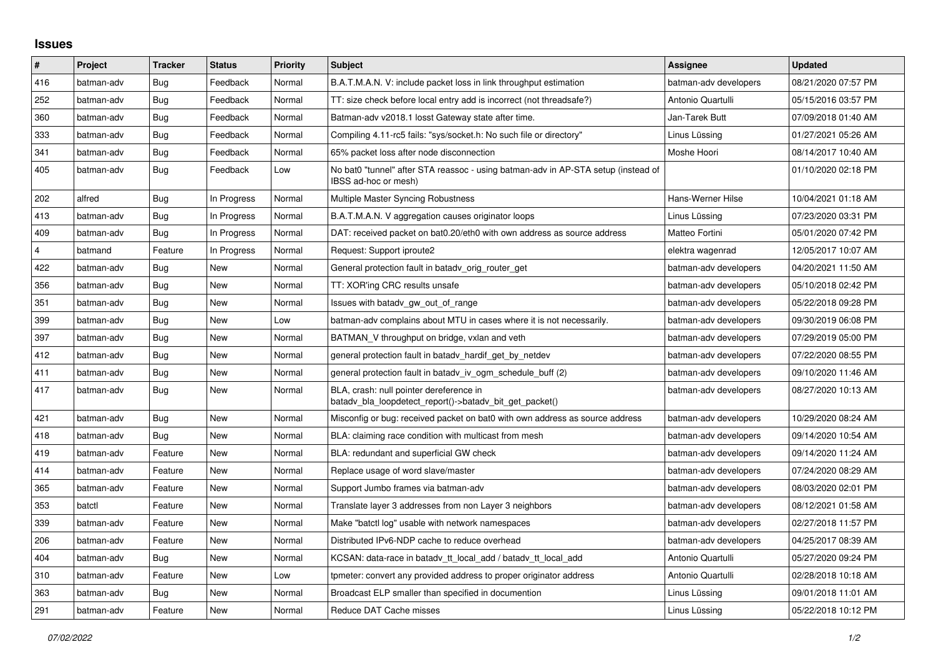## **Issues**

| $\vert$ # | Project    | <b>Tracker</b> | <b>Status</b> | Priority | <b>Subject</b>                                                                                            | Assignee              | <b>Updated</b>      |
|-----------|------------|----------------|---------------|----------|-----------------------------------------------------------------------------------------------------------|-----------------------|---------------------|
| 416       | batman-adv | Bug            | Feedback      | Normal   | B.A.T.M.A.N. V: include packet loss in link throughput estimation                                         | batman-adv developers | 08/21/2020 07:57 PM |
| 252       | batman-adv | Bug            | Feedback      | Normal   | TT: size check before local entry add is incorrect (not threadsafe?)                                      | Antonio Quartulli     | 05/15/2016 03:57 PM |
| 360       | batman-adv | Bug            | Feedback      | Normal   | Batman-adv v2018.1 losst Gateway state after time.                                                        | Jan-Tarek Butt        | 07/09/2018 01:40 AM |
| 333       | batman-adv | <b>Bug</b>     | Feedback      | Normal   | Compiling 4.11-rc5 fails: "sys/socket.h: No such file or directory"                                       | Linus Lüssing         | 01/27/2021 05:26 AM |
| 341       | batman-adv | Bug            | Feedback      | Normal   | 65% packet loss after node disconnection                                                                  | Moshe Hoori           | 08/14/2017 10:40 AM |
| 405       | batman-adv | Bug            | Feedback      | Low      | No bat0 "tunnel" after STA reassoc - using batman-adv in AP-STA setup (instead of<br>IBSS ad-hoc or mesh) |                       | 01/10/2020 02:18 PM |
| 202       | alfred     | Bug            | In Progress   | Normal   | Multiple Master Syncing Robustness                                                                        | Hans-Werner Hilse     | 10/04/2021 01:18 AM |
| 413       | batman-adv | Bug            | In Progress   | Normal   | B.A.T.M.A.N. V aggregation causes originator loops                                                        | Linus Lüssing         | 07/23/2020 03:31 PM |
| 409       | batman-adv | Bug            | In Progress   | Normal   | DAT: received packet on bat0.20/eth0 with own address as source address                                   | Matteo Fortini        | 05/01/2020 07:42 PM |
| 4         | batmand    | Feature        | In Progress   | Normal   | Request: Support iproute2                                                                                 | elektra wagenrad      | 12/05/2017 10:07 AM |
| 422       | batman-adv | <b>Bug</b>     | <b>New</b>    | Normal   | General protection fault in batady orig router get                                                        | batman-adv developers | 04/20/2021 11:50 AM |
| 356       | batman-adv | Bug            | New           | Normal   | TT: XOR'ing CRC results unsafe                                                                            | batman-adv developers | 05/10/2018 02:42 PM |
| 351       | batman-adv | Bug            | <b>New</b>    | Normal   | Issues with batady gw out of range                                                                        | batman-adv developers | 05/22/2018 09:28 PM |
| 399       | batman-adv | Bug            | New           | Low      | batman-adv complains about MTU in cases where it is not necessarily.                                      | batman-adv developers | 09/30/2019 06:08 PM |
| 397       | batman-adv | Bug            | New           | Normal   | BATMAN_V throughput on bridge, vxlan and veth                                                             | batman-adv developers | 07/29/2019 05:00 PM |
| 412       | batman-adv | Bug            | New           | Normal   | general protection fault in batady hardif get by netdev                                                   | batman-adv developers | 07/22/2020 08:55 PM |
| 411       | batman-adv | Bug            | New           | Normal   | general protection fault in batady iv ogm schedule buff (2)                                               | batman-adv developers | 09/10/2020 11:46 AM |
| 417       | batman-adv | Bug            | New           | Normal   | BLA, crash: null pointer dereference in<br>batady bla loopdetect report()->batady bit get packet()        | batman-adv developers | 08/27/2020 10:13 AM |
| 421       | batman-adv | Bug            | New           | Normal   | Misconfig or bug: received packet on bat0 with own address as source address                              | batman-adv developers | 10/29/2020 08:24 AM |
| 418       | batman-adv | Bug            | <b>New</b>    | Normal   | BLA: claiming race condition with multicast from mesh                                                     | batman-adv developers | 09/14/2020 10:54 AM |
| 419       | batman-adv | Feature        | New           | Normal   | BLA: redundant and superficial GW check                                                                   | batman-adv developers | 09/14/2020 11:24 AM |
| 414       | batman-adv | Feature        | <b>New</b>    | Normal   | Replace usage of word slave/master                                                                        | batman-adv developers | 07/24/2020 08:29 AM |
| 365       | batman-adv | Feature        | New           | Normal   | Support Jumbo frames via batman-adv                                                                       | batman-adv developers | 08/03/2020 02:01 PM |
| 353       | batctl     | Feature        | New           | Normal   | Translate layer 3 addresses from non Layer 3 neighbors                                                    | batman-adv developers | 08/12/2021 01:58 AM |
| 339       | batman-adv | Feature        | New           | Normal   | Make "batctl log" usable with network namespaces                                                          | batman-adv developers | 02/27/2018 11:57 PM |
| 206       | batman-adv | Feature        | New           | Normal   | Distributed IPv6-NDP cache to reduce overhead                                                             | batman-adv developers | 04/25/2017 08:39 AM |
| 404       | batman-adv | Bug            | New           | Normal   | KCSAN: data-race in batady tt local add / batady tt local add                                             | Antonio Quartulli     | 05/27/2020 09:24 PM |
| 310       | batman-adv | Feature        | New           | Low      | tpmeter: convert any provided address to proper originator address                                        | Antonio Quartulli     | 02/28/2018 10:18 AM |
| 363       | batman-adv | <b>Bug</b>     | New           | Normal   | Broadcast ELP smaller than specified in documention                                                       | Linus Lüssing         | 09/01/2018 11:01 AM |
| 291       | batman-adv | Feature        | New           | Normal   | Reduce DAT Cache misses                                                                                   | Linus Lüssing         | 05/22/2018 10:12 PM |